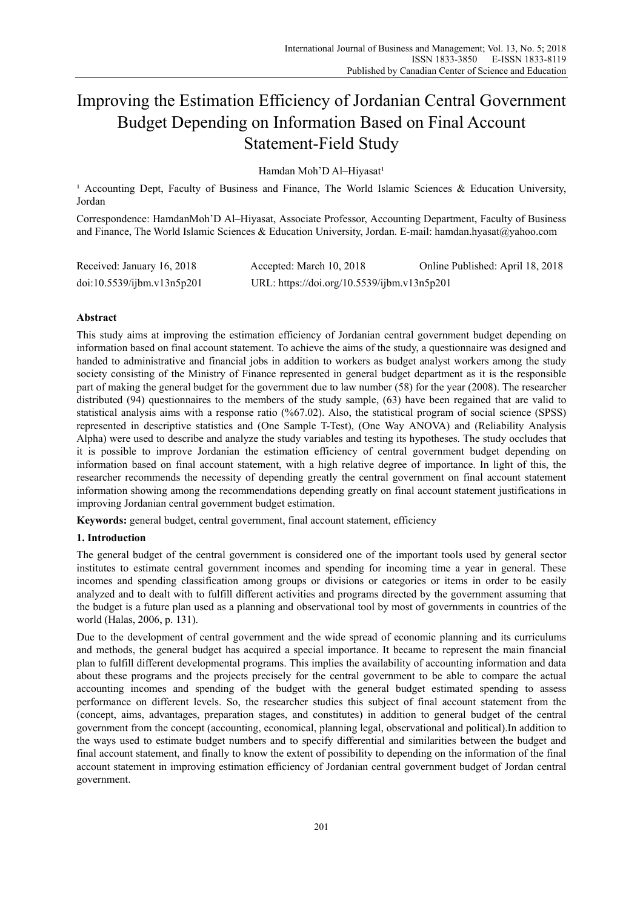# Improving the Estimation Efficiency of Jordanian Central Government Budget Depending on Information Based on Final Account Statement-Field Study

Hamdan Moh'D Al-Hiyasat<sup>1</sup>

<sup>1</sup> Accounting Dept, Faculty of Business and Finance, The World Islamic Sciences & Education University, Jordan

Correspondence: HamdanMoh'D Al–Hiyasat, Associate Professor, Accounting Department, Faculty of Business and Finance, The World Islamic Sciences & Education University, Jordan. E-mail: hamdan.hyasat@yahoo.com

| Received: January 16, 2018 | Accepted: March 10, 2018                    | Online Published: April 18, 2018 |
|----------------------------|---------------------------------------------|----------------------------------|
| doi:10.5539/ijbm.v13n5p201 | URL: https://doi.org/10.5539/ijbm.v13n5p201 |                                  |

# **Abstract**

This study aims at improving the estimation efficiency of Jordanian central government budget depending on information based on final account statement. To achieve the aims of the study, a questionnaire was designed and handed to administrative and financial jobs in addition to workers as budget analyst workers among the study society consisting of the Ministry of Finance represented in general budget department as it is the responsible part of making the general budget for the government due to law number (58) for the year (2008). The researcher distributed (94) questionnaires to the members of the study sample, (63) have been regained that are valid to statistical analysis aims with a response ratio (%67.02). Also, the statistical program of social science (SPSS) represented in descriptive statistics and (One Sample T-Test), (One Way ANOVA) and (Reliability Analysis Alpha) were used to describe and analyze the study variables and testing its hypotheses. The study occludes that it is possible to improve Jordanian the estimation efficiency of central government budget depending on information based on final account statement, with a high relative degree of importance. In light of this, the researcher recommends the necessity of depending greatly the central government on final account statement information showing among the recommendations depending greatly on final account statement justifications in improving Jordanian central government budget estimation.

**Keywords:** general budget, central government, final account statement, efficiency

## **1. Introduction**

The general budget of the central government is considered one of the important tools used by general sector institutes to estimate central government incomes and spending for incoming time a year in general. These incomes and spending classification among groups or divisions or categories or items in order to be easily analyzed and to dealt with to fulfill different activities and programs directed by the government assuming that the budget is a future plan used as a planning and observational tool by most of governments in countries of the world (Halas, 2006, p. 131).

Due to the development of central government and the wide spread of economic planning and its curriculums and methods, the general budget has acquired a special importance. It became to represent the main financial plan to fulfill different developmental programs. This implies the availability of accounting information and data about these programs and the projects precisely for the central government to be able to compare the actual accounting incomes and spending of the budget with the general budget estimated spending to assess performance on different levels. So, the researcher studies this subject of final account statement from the (concept, aims, advantages, preparation stages, and constitutes) in addition to general budget of the central government from the concept (accounting, economical, planning legal, observational and political).In addition to the ways used to estimate budget numbers and to specify differential and similarities between the budget and final account statement, and finally to know the extent of possibility to depending on the information of the final account statement in improving estimation efficiency of Jordanian central government budget of Jordan central government.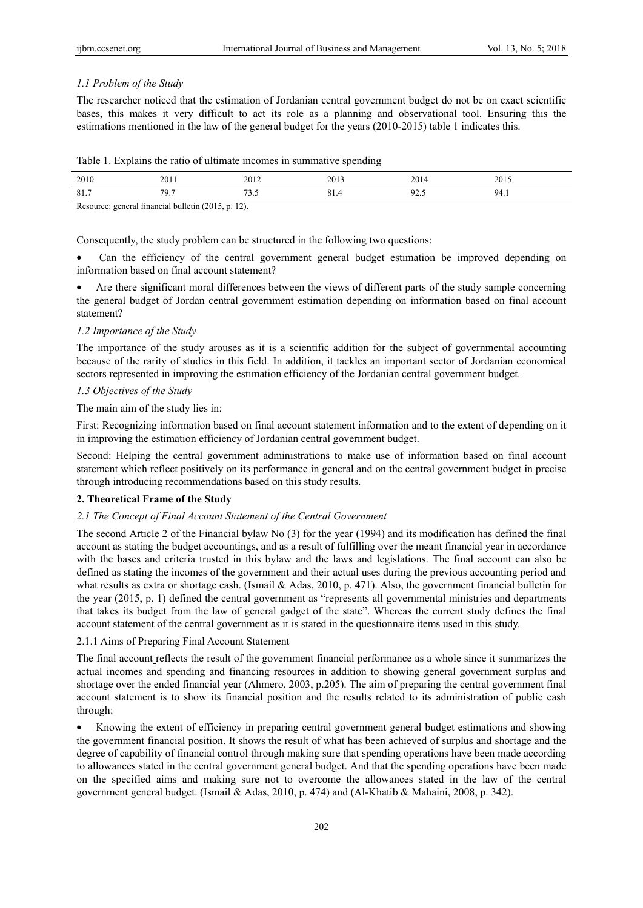#### *1.1 Problem of the Study*

The researcher noticed that the estimation of Jordanian central government budget do not be on exact scientific bases, this makes it very difficult to act its role as a planning and observational tool. Ensuring this the estimations mentioned in the law of the general budget for the years (2010-2015) table 1 indicates this.

Table 1. Explains the ratio of ultimate incomes in summative spending

| 2010     | 2011                | 2012 | $\sim$ | 201<br>201' | <b>2012</b>  |
|----------|---------------------|------|--------|-------------|--------------|
| 81.<br>- | $70^{\circ}$<br>, . | ن. ب | $\sim$ | ر_          | OЛ<br>- 1. 1 |

Resource: general financial bulletin (2015, p. 12).

Consequently, the study problem can be structured in the following two questions:

• Can the efficiency of the central government general budget estimation be improved depending on information based on final account statement?

• Are there significant moral differences between the views of different parts of the study sample concerning the general budget of Jordan central government estimation depending on information based on final account statement?

#### *1.2 Importance of the Study*

The importance of the study arouses as it is a scientific addition for the subject of governmental accounting because of the rarity of studies in this field. In addition, it tackles an important sector of Jordanian economical sectors represented in improving the estimation efficiency of the Jordanian central government budget.

## *1.3 Objectives of the Study*

The main aim of the study lies in:

First: Recognizing information based on final account statement information and to the extent of depending on it in improving the estimation efficiency of Jordanian central government budget.

Second: Helping the central government administrations to make use of information based on final account statement which reflect positively on its performance in general and on the central government budget in precise through introducing recommendations based on this study results.

#### **2. Theoretical Frame of the Study**

#### *2.1 The Concept of Final Account Statement of the Central Government*

The second Article 2 of the Financial bylaw No (3) for the year (1994) and its modification has defined the final account as stating the budget accountings, and as a result of fulfilling over the meant financial year in accordance with the bases and criteria trusted in this bylaw and the laws and legislations. The final account can also be defined as stating the incomes of the government and their actual uses during the previous accounting period and what results as extra or shortage cash. (Ismail & Adas, 2010, p. 471). Also, the government financial bulletin for the year (2015, p. 1) defined the central government as "represents all governmental ministries and departments that takes its budget from the law of general gadget of the state". Whereas the current study defines the final account statement of the central government as it is stated in the questionnaire items used in this study.

#### 2.1.1 Aims of Preparing Final Account Statement

The final account reflects the result of the government financial performance as a whole since it summarizes the actual incomes and spending and financing resources in addition to showing general government surplus and shortage over the ended financial year (Ahmero, 2003, p.205). The aim of preparing the central government final account statement is to show its financial position and the results related to its administration of public cash through:

• Knowing the extent of efficiency in preparing central government general budget estimations and showing the government financial position. It shows the result of what has been achieved of surplus and shortage and the degree of capability of financial control through making sure that spending operations have been made according to allowances stated in the central government general budget. And that the spending operations have been made on the specified aims and making sure not to overcome the allowances stated in the law of the central government general budget. (Ismail & Adas, 2010, p. 474) and (Al-Khatib & Mahaini, 2008, p. 342).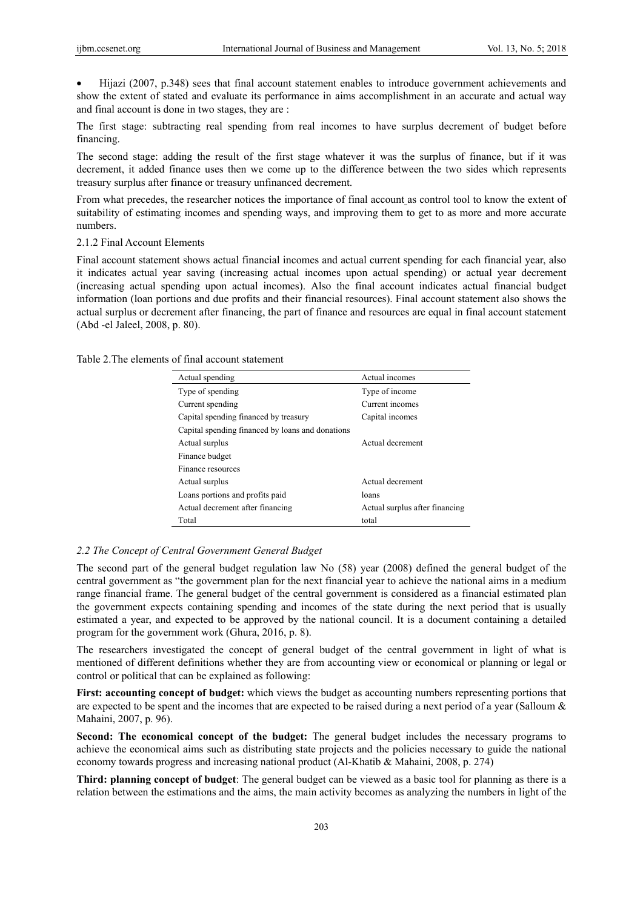• Hijazi (2007, p.348) sees that final account statement enables to introduce government achievements and show the extent of stated and evaluate its performance in aims accomplishment in an accurate and actual way and final account is done in two stages, they are :

The first stage: subtracting real spending from real incomes to have surplus decrement of budget before financing.

The second stage: adding the result of the first stage whatever it was the surplus of finance, but if it was decrement, it added finance uses then we come up to the difference between the two sides which represents treasury surplus after finance or treasury unfinanced decrement.

From what precedes, the researcher notices the importance of final account as control tool to know the extent of suitability of estimating incomes and spending ways, and improving them to get to as more and more accurate numbers.

## 2.1.2 Final Account Elements

Final account statement shows actual financial incomes and actual current spending for each financial year, also it indicates actual year saving (increasing actual incomes upon actual spending) or actual year decrement (increasing actual spending upon actual incomes). Also the final account indicates actual financial budget information (loan portions and due profits and their financial resources). Final account statement also shows the actual surplus or decrement after financing, the part of finance and resources are equal in final account statement (Abd -el Jaleel, 2008, p. 80).

| Actual spending                                  | Actual incomes                 |
|--------------------------------------------------|--------------------------------|
| Type of spending                                 | Type of income                 |
| Current spending                                 | Current incomes                |
| Capital spending financed by treasury            | Capital incomes                |
| Capital spending financed by loans and donations |                                |
| Actual surplus                                   | Actual decrement               |
| Finance budget                                   |                                |
| Finance resources                                |                                |
| Actual surplus                                   | Actual decrement               |
| Loans portions and profits paid                  | loans                          |
| Actual decrement after financing                 | Actual surplus after financing |
| Total                                            | total                          |

Table 2.The elements of final account statement

## *2.2 The Concept of Central Government General Budget*

The second part of the general budget regulation law No (58) year (2008) defined the general budget of the central government as "the government plan for the next financial year to achieve the national aims in a medium range financial frame. The general budget of the central government is considered as a financial estimated plan the government expects containing spending and incomes of the state during the next period that is usually estimated a year, and expected to be approved by the national council. It is a document containing a detailed program for the government work (Ghura, 2016, p. 8).

The researchers investigated the concept of general budget of the central government in light of what is mentioned of different definitions whether they are from accounting view or economical or planning or legal or control or political that can be explained as following:

**First: accounting concept of budget:** which views the budget as accounting numbers representing portions that are expected to be spent and the incomes that are expected to be raised during a next period of a year (Salloum & Mahaini, 2007, p. 96).

**Second: The economical concept of the budget:** The general budget includes the necessary programs to achieve the economical aims such as distributing state projects and the policies necessary to guide the national economy towards progress and increasing national product (Al-Khatib & Mahaini, 2008, p. 274)

**Third: planning concept of budget**: The general budget can be viewed as a basic tool for planning as there is a relation between the estimations and the aims, the main activity becomes as analyzing the numbers in light of the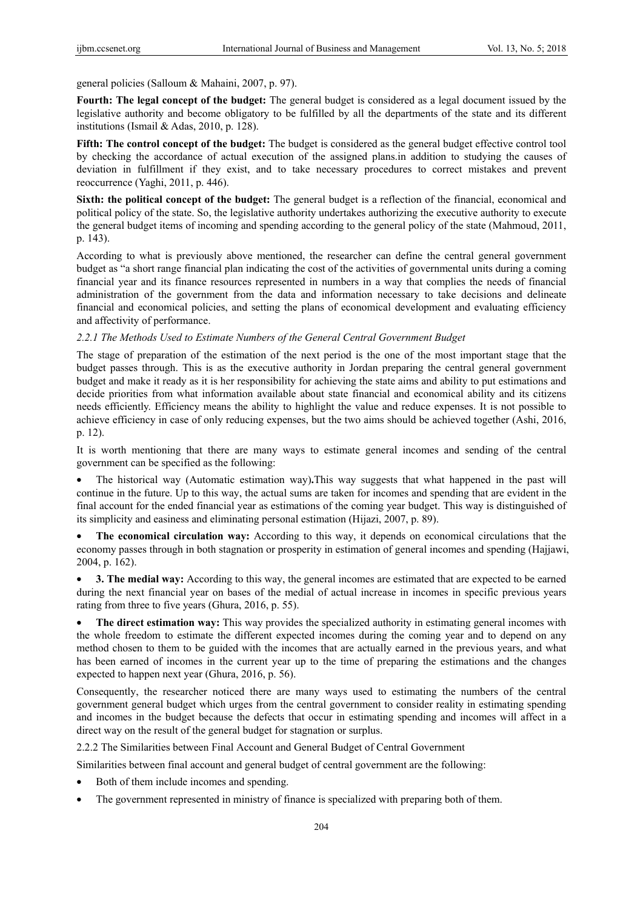general policies (Salloum & Mahaini, 2007, p. 97).

**Fourth: The legal concept of the budget:** The general budget is considered as a legal document issued by the legislative authority and become obligatory to be fulfilled by all the departments of the state and its different institutions (Ismail & Adas, 2010, p. 128).

**Fifth: The control concept of the budget:** The budget is considered as the general budget effective control tool by checking the accordance of actual execution of the assigned plans.in addition to studying the causes of deviation in fulfillment if they exist, and to take necessary procedures to correct mistakes and prevent reoccurrence (Yaghi, 2011, p. 446).

**Sixth: the political concept of the budget:** The general budget is a reflection of the financial, economical and political policy of the state. So, the legislative authority undertakes authorizing the executive authority to execute the general budget items of incoming and spending according to the general policy of the state (Mahmoud, 2011, p. 143).

According to what is previously above mentioned, the researcher can define the central general government budget as "a short range financial plan indicating the cost of the activities of governmental units during a coming financial year and its finance resources represented in numbers in a way that complies the needs of financial administration of the government from the data and information necessary to take decisions and delineate financial and economical policies, and setting the plans of economical development and evaluating efficiency and affectivity of performance.

2.2.1 The Methods Used to Estimate Numbers of the General Central Government Budget

The stage of preparation of the estimation of the next period is the one of the most important stage that the budget passes through. This is as the executive authority in Jordan preparing the central general government budget and make it ready as it is her responsibility for achieving the state aims and ability to put estimations and decide priorities from what information available about state financial and economical ability and its citizens needs efficiently. Efficiency means the ability to highlight the value and reduce expenses. It is not possible to achieve efficiency in case of only reducing expenses, but the two aims should be achieved together (Ashi, 2016, p. 12).

It is worth mentioning that there are many ways to estimate general incomes and sending of the central government can be specified as the following:

• The historical way (Automatic estimation way). This way suggests that what happened in the past will continue in the future. Up to this way, the actual sums are taken for incomes and spending that are evident in the final account for the ended financial year as estimations of the coming year budget. This way is distinguished of its simplicity and easiness and eliminating personal estimation (Hijazi, 2007, p. 89).

• **The economical circulation way:** According to this way, it depends on economical circulations that the economy passes through in both stagnation or prosperity in estimation of general incomes and spending (Hajjawi, 2004, p. 162).

• **3. The medial way:** According to this way, the general incomes are estimated that are expected to be earned during the next financial year on bases of the medial of actual increase in incomes in specific previous years rating from three to five years (Ghura, 2016, p. 55).

• **The direct estimation way:** This way provides the specialized authority in estimating general incomes with the whole freedom to estimate the different expected incomes during the coming year and to depend on any method chosen to them to be guided with the incomes that are actually earned in the previous years, and what has been earned of incomes in the current year up to the time of preparing the estimations and the changes expected to happen next year (Ghura, 2016, p. 56).

Consequently, the researcher noticed there are many ways used to estimating the numbers of the central government general budget which urges from the central government to consider reality in estimating spending and incomes in the budget because the defects that occur in estimating spending and incomes will affect in a direct way on the result of the general budget for stagnation or surplus.

2.2.2 The Similarities between Final Account and General Budget of Central Government

Similarities between final account and general budget of central government are the following:

- Both of them include incomes and spending.
- The government represented in ministry of finance is specialized with preparing both of them.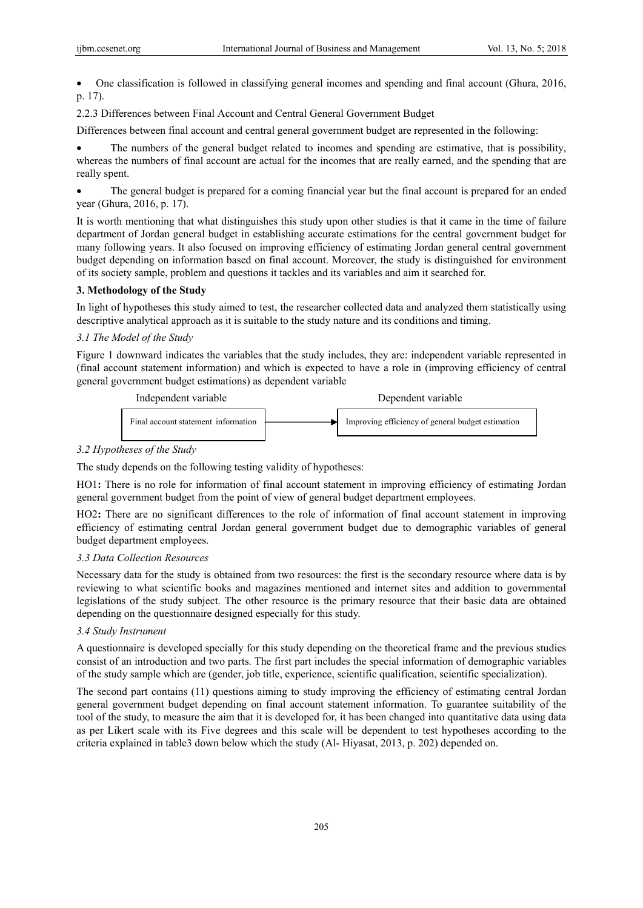• One classification is followed in classifying general incomes and spending and final account (Ghura, 2016, p. 17).

2.2.3 Differences between Final Account and Central General Government Budget

Differences between final account and central general government budget are represented in the following:

• The numbers of the general budget related to incomes and spending are estimative, that is possibility, whereas the numbers of final account are actual for the incomes that are really earned, and the spending that are really spent.

• The general budget is prepared for a coming financial year but the final account is prepared for an ended year (Ghura, 2016, p. 17).

It is worth mentioning that what distinguishes this study upon other studies is that it came in the time of failure department of Jordan general budget in establishing accurate estimations for the central government budget for many following years. It also focused on improving efficiency of estimating Jordan general central government budget depending on information based on final account. Moreover, the study is distinguished for environment of its society sample, problem and questions it tackles and its variables and aim it searched for.

## **3. Methodology of the Study**

In light of hypotheses this study aimed to test, the researcher collected data and analyzed them statistically using descriptive analytical approach as it is suitable to the study nature and its conditions and timing.

## *3.1 The Model of the Study*

Figure 1 downward indicates the variables that the study includes, they are: independent variable represented in (final account statement information) and which is expected to have a role in (improving efficiency of central general government budget estimations) as dependent variable



## *3.2 Hypotheses of the Study*

The study depends on the following testing validity of hypotheses:

HO1**:** There is no role for information of final account statement in improving efficiency of estimating Jordan general government budget from the point of view of general budget department employees.

HO2**:** There are no significant differences to the role of information of final account statement in improving efficiency of estimating central Jordan general government budget due to demographic variables of general budget department employees.

#### *3.3 Data Collection Resources*

Necessary data for the study is obtained from two resources: the first is the secondary resource where data is by reviewing to what scientific books and magazines mentioned and internet sites and addition to governmental legislations of the study subject. The other resource is the primary resource that their basic data are obtained depending on the questionnaire designed especially for this study.

## *3.4 Study Instrument*

A questionnaire is developed specially for this study depending on the theoretical frame and the previous studies consist of an introduction and two parts. The first part includes the special information of demographic variables of the study sample which are (gender, job title, experience, scientific qualification, scientific specialization).

The second part contains (11) questions aiming to study improving the efficiency of estimating central Jordan general government budget depending on final account statement information. To guarantee suitability of the tool of the study, to measure the aim that it is developed for, it has been changed into quantitative data using data as per Likert scale with its Five degrees and this scale will be dependent to test hypotheses according to the criteria explained in table3 down below which the study (Al- Hiyasat, 2013, p. 202) depended on.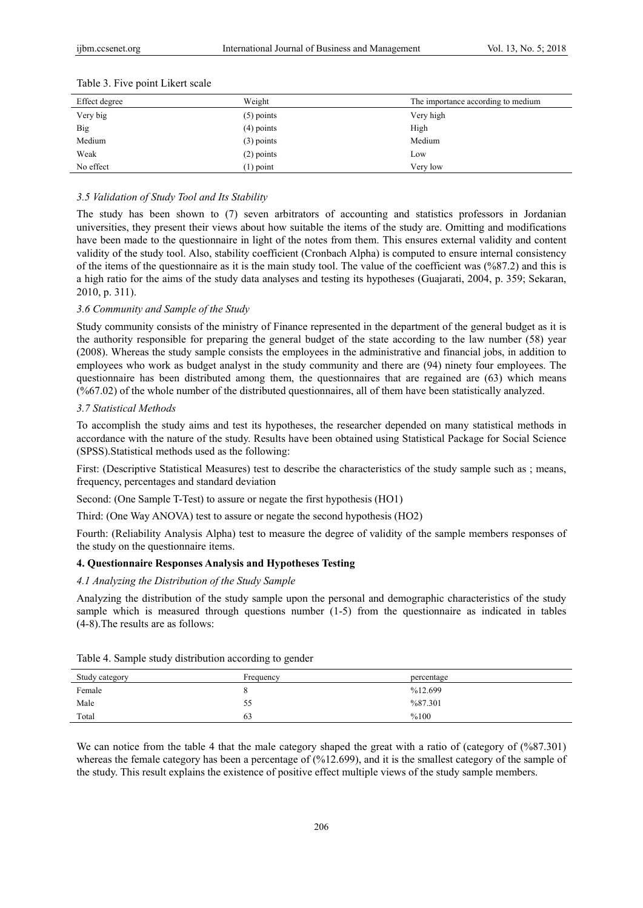| Effect degree | Weight       | The importance according to medium |
|---------------|--------------|------------------------------------|
| Very big      | $(5)$ points | Very high                          |
| Big           | $(4)$ points | High                               |
| Medium        | $(3)$ points | Medium                             |
| Weak          | $(2)$ points | Low                                |
| No effect     | $(1)$ point  | Very low                           |

#### Table 3. Five point Likert scale

#### *3.5 Validation of Study Tool and Its Stability*

The study has been shown to (7) seven arbitrators of accounting and statistics professors in Jordanian universities, they present their views about how suitable the items of the study are. Omitting and modifications have been made to the questionnaire in light of the notes from them. This ensures external validity and content validity of the study tool. Also, stability coefficient (Cronbach Alpha) is computed to ensure internal consistency of the items of the questionnaire as it is the main study tool. The value of the coefficient was (%87.2) and this is a high ratio for the aims of the study data analyses and testing its hypotheses (Guajarati, 2004, p. 359; Sekaran, 2010, p. 311).

#### *3.6 Community and Sample of the Study*

Study community consists of the ministry of Finance represented in the department of the general budget as it is the authority responsible for preparing the general budget of the state according to the law number (58) year (2008). Whereas the study sample consists the employees in the administrative and financial jobs, in addition to employees who work as budget analyst in the study community and there are (94) ninety four employees. The questionnaire has been distributed among them, the questionnaires that are regained are (63) which means (%67.02) of the whole number of the distributed questionnaires, all of them have been statistically analyzed.

#### *3.7 Statistical Methods*

To accomplish the study aims and test its hypotheses, the researcher depended on many statistical methods in accordance with the nature of the study. Results have been obtained using Statistical Package for Social Science (SPSS).Statistical methods used as the following:

First: (Descriptive Statistical Measures) test to describe the characteristics of the study sample such as ; means, frequency, percentages and standard deviation

Second: (One Sample T-Test) to assure or negate the first hypothesis (HO1)

Third: (One Way ANOVA) test to assure or negate the second hypothesis (HO2)

Fourth: (Reliability Analysis Alpha) test to measure the degree of validity of the sample members responses of the study on the questionnaire items.

## **4. Questionnaire Responses Analysis and Hypotheses Testing**

#### *4.1 Analyzing the Distribution of the Study Sample*

Analyzing the distribution of the study sample upon the personal and demographic characteristics of the study sample which is measured through questions number (1-5) from the questionnaire as indicated in tables (4-8).The results are as follows:

| Study category | Frequency | percentage |
|----------------|-----------|------------|
| Female         |           | %12.699    |
| Male           | 55        | %87.301    |
| Total          | 63        | %100       |

|  | Table 4. Sample study distribution according to gender |  |
|--|--------------------------------------------------------|--|
|  |                                                        |  |

We can notice from the table 4 that the male category shaped the great with a ratio of (category of  $(\%87.301)$ ) whereas the female category has been a percentage of (%12.699), and it is the smallest category of the sample of the study. This result explains the existence of positive effect multiple views of the study sample members.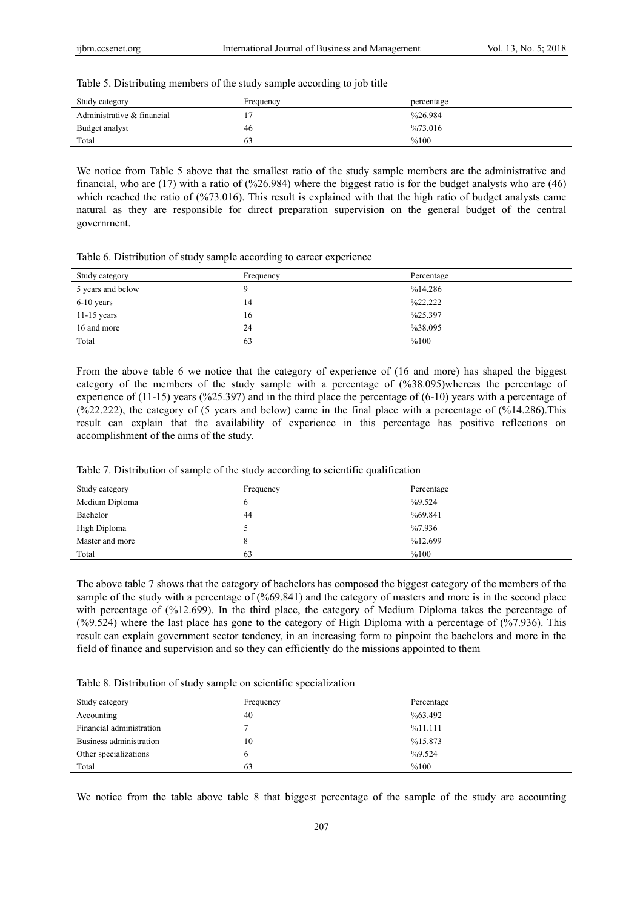| Table 5. Distributing members of the study sample according to job title |  |  |  |
|--------------------------------------------------------------------------|--|--|--|
|                                                                          |  |  |  |

| Study category             | Frequency | percentage |
|----------------------------|-----------|------------|
| Administrative & financial |           | %26.984    |
| Budget analyst             | 46        | %73.016    |
| Total                      | 63        | %100       |

We notice from Table 5 above that the smallest ratio of the study sample members are the administrative and financial, who are (17) with a ratio of (%26.984) where the biggest ratio is for the budget analysts who are (46) which reached the ratio of (%73.016). This result is explained with that the high ratio of budget analysts came natural as they are responsible for direct preparation supervision on the general budget of the central government.

Table 6. Distribution of study sample according to career experience

| Study category    | Frequency | Percentage |
|-------------------|-----------|------------|
| 5 years and below | Q         | %14.286    |
| $6-10$ years      | 14        | %22.222    |
| $11-15$ years     | 16        | %25.397    |
| 16 and more       | 24        | %38.095    |
| Total             | 63        | %100       |

From the above table 6 we notice that the category of experience of (16 and more) has shaped the biggest category of the members of the study sample with a percentage of (%38.095)whereas the percentage of experience of (11-15) years (%25.397) and in the third place the percentage of (6-10) years with a percentage of (%22.222), the category of (5 years and below) came in the final place with a percentage of (%14.286).This result can explain that the availability of experience in this percentage has positive reflections on accomplishment of the aims of the study.

Table 7. Distribution of sample of the study according to scientific qualification

| Study category  | Frequency | Percentage |
|-----------------|-----------|------------|
| Medium Diploma  | 6         | %9.524     |
| Bachelor        | 44        | %69.841    |
| High Diploma    |           | %7.936     |
| Master and more | 8         | %12.699    |
| Total           | 63        | %100       |

The above table 7 shows that the category of bachelors has composed the biggest category of the members of the sample of the study with a percentage of (%69.841) and the category of masters and more is in the second place with percentage of (%12.699). In the third place, the category of Medium Diploma takes the percentage of  $(\frac{969.524}{96.524})$  where the last place has gone to the category of High Diploma with a percentage of  $(\frac{967.936}{96.524})$ . This result can explain government sector tendency, in an increasing form to pinpoint the bachelors and more in the field of finance and supervision and so they can efficiently do the missions appointed to them

Table 8. Distribution of study sample on scientific specialization

| Study category           | Frequency | Percentage |  |
|--------------------------|-----------|------------|--|
| Accounting               | 40        | %63.492    |  |
| Financial administration |           | %11.111    |  |
| Business administration  | 10        | %15.873    |  |
| Other specializations    | n         | %9.524     |  |
| Total                    | 63        | %100       |  |
|                          |           |            |  |

We notice from the table above table 8 that biggest percentage of the sample of the study are accounting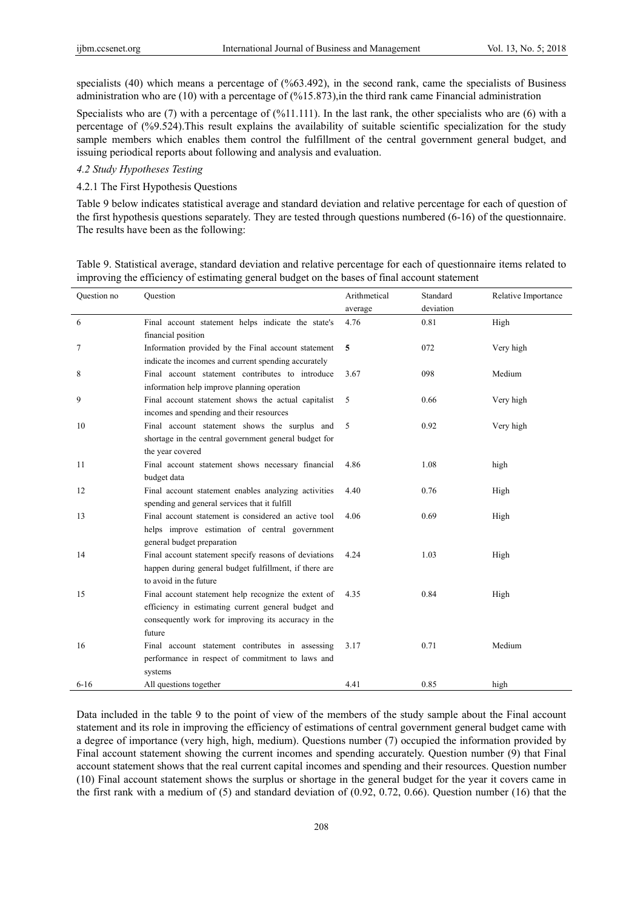specialists (40) which means a percentage of (%63.492), in the second rank, came the specialists of Business administration who are  $(10)$  with a percentage of  $(\frac{9615.873}{n})$  the third rank came Financial administration

Specialists who are (7) with a percentage of (%11.111). In the last rank, the other specialists who are (6) with a percentage of (%9.524).This result explains the availability of suitable scientific specialization for the study sample members which enables them control the fulfillment of the central government general budget, and issuing periodical reports about following and analysis and evaluation.

## *4.2 Study Hypotheses Testing*

## 4.2.1 The First Hypothesis Questions

Table 9 below indicates statistical average and standard deviation and relative percentage for each of question of the first hypothesis questions separately. They are tested through questions numbered (6-16) of the questionnaire. The results have been as the following:

Table 9. Statistical average, standard deviation and relative percentage for each of questionnaire items related to improving the efficiency of estimating general budget on the bases of final account statement

| Question no | Question                                               | Arithmetical | Standard  | Relative Importance |
|-------------|--------------------------------------------------------|--------------|-----------|---------------------|
|             |                                                        | average      | deviation |                     |
| 6           | Final account statement helps indicate the state's     | 4.76         | 0.81      | High                |
|             | financial position                                     |              |           |                     |
| 7           | Information provided by the Final account statement    | 5            | 072       | Very high           |
|             | indicate the incomes and current spending accurately   |              |           |                     |
| 8           | Final account statement contributes to introduce       | 3.67         | 098       | Medium              |
|             | information help improve planning operation            |              |           |                     |
| 9           | Final account statement shows the actual capitalist    | 5            | 0.66      | Very high           |
|             | incomes and spending and their resources               |              |           |                     |
| 10          | Final account statement shows the surplus and          | 5            | 0.92      | Very high           |
|             | shortage in the central government general budget for  |              |           |                     |
|             | the year covered                                       |              |           |                     |
| 11          | Final account statement shows necessary financial      | 4.86         | 1.08      | high                |
|             | budget data                                            |              |           |                     |
| 12          | Final account statement enables analyzing activities   | 4.40         | 0.76      | High                |
|             | spending and general services that it fulfill          |              |           |                     |
| 13          | Final account statement is considered an active tool   | 4.06         | 0.69      | High                |
|             | helps improve estimation of central government         |              |           |                     |
|             | general budget preparation                             |              |           |                     |
| 14          | Final account statement specify reasons of deviations  | 4.24         | 1.03      | High                |
|             | happen during general budget fulfillment, if there are |              |           |                     |
|             | to avoid in the future                                 |              |           |                     |
| 15          | Final account statement help recognize the extent of   | 4.35         | 0.84      | High                |
|             | efficiency in estimating current general budget and    |              |           |                     |
|             | consequently work for improving its accuracy in the    |              |           |                     |
|             | future                                                 |              |           |                     |
| 16          | Final account statement contributes in assessing       | 3.17         | 0.71      | Medium              |
|             | performance in respect of commitment to laws and       |              |           |                     |
|             | systems                                                |              |           |                     |
| $6 - 16$    | All questions together                                 | 4.41         | 0.85      | high                |

Data included in the table 9 to the point of view of the members of the study sample about the Final account statement and its role in improving the efficiency of estimations of central government general budget came with a degree of importance (very high, high, medium). Questions number (7) occupied the information provided by Final account statement showing the current incomes and spending accurately. Question number (9) that Final account statement shows that the real current capital incomes and spending and their resources. Question number (10) Final account statement shows the surplus or shortage in the general budget for the year it covers came in the first rank with a medium of (5) and standard deviation of (0.92, 0.72, 0.66). Question number (16) that the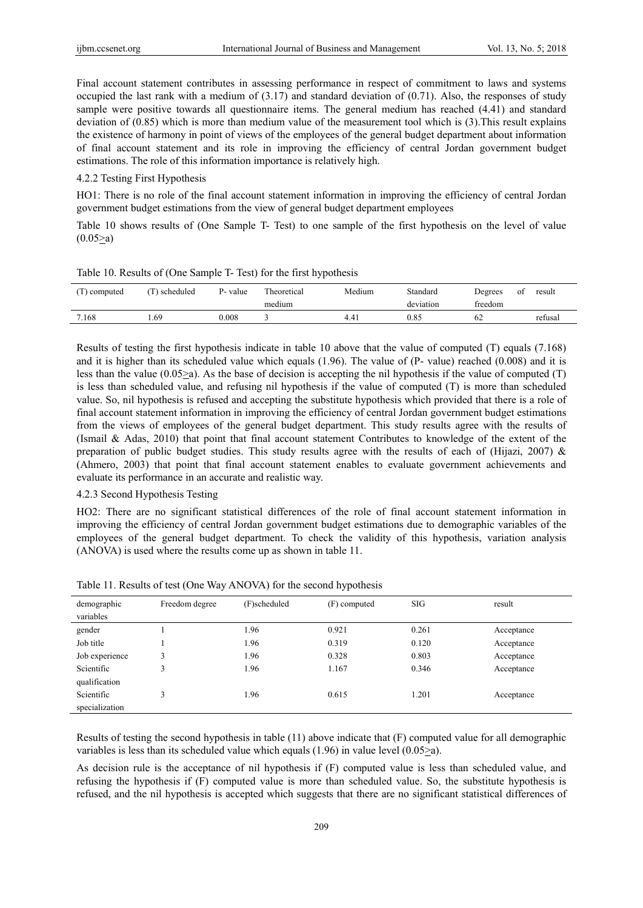Final account statement contributes in assessing performance in respect of commitment to laws and systems occupied the last rank with a medium of (3.17) and standard deviation of (0.71). Also, the responses of study sample were positive towards all questionnaire items. The general medium has reached (4.41) and standard deviation of (0.85) which is more than medium value of the measurement tool which is (3).This result explains the existence of harmony in point of views of the employees of the general budget department about information of final account statement and its role in improving the efficiency of central Jordan government budget estimations. The role of this information importance is relatively high.

## 4.2.2 Testing First Hypothesis

HO1: There is no role of the final account statement information in improving the efficiency of central Jordan government budget estimations from the view of general budget department employees

Table 10 shows results of (One Sample T- Test) to one sample of the first hypothesis on the level of value  $(0.05>a)$ 

|  |  | Table 10. Results of (One Sample T- Test) for the first hypothesis |
|--|--|--------------------------------------------------------------------|
|--|--|--------------------------------------------------------------------|

| (T) computed | (T) scheduled | P- value | Theoretical | Medium | Standard  | Degrees<br>οt | result  |
|--------------|---------------|----------|-------------|--------|-----------|---------------|---------|
|              |               |          | medium      |        | deviation | freedom       |         |
| 7.168        | . .69         | 0.008    |             | ۰.,    | $_{0.85}$ | 62            | refusal |

Results of testing the first hypothesis indicate in table 10 above that the value of computed (T) equals (7.168) and it is higher than its scheduled value which equals (1.96). The value of (P- value) reached (0.008) and it is less than the value  $(0.05\ge a)$ . As the base of decision is accepting the nil hypothesis if the value of computed (T) is less than scheduled value, and refusing nil hypothesis if the value of computed (T) is more than scheduled value. So, nil hypothesis is refused and accepting the substitute hypothesis which provided that there is a role of final account statement information in improving the efficiency of central Jordan government budget estimations from the views of employees of the general budget department. This study results agree with the results of (Ismail & Adas, 2010) that point that final account statement Contributes to knowledge of the extent of the preparation of public budget studies. This study results agree with the results of each of (Hijazi, 2007) & (Ahmero, 2003) that point that final account statement enables to evaluate government achievements and evaluate its performance in an accurate and realistic way.

## 4.2.3 Second Hypothesis Testing

HO2: There are no significant statistical differences of the role of final account statement information in improving the efficiency of central Jordan government budget estimations due to demographic variables of the employees of the general budget department. To check the validity of this hypothesis, variation analysis (ANOVA) is used where the results come up as shown in table 11.

| demographic    | Freedom degree | (F)scheduled | (F) computed | <b>SIG</b> | result     |
|----------------|----------------|--------------|--------------|------------|------------|
| variables      |                |              |              |            |            |
| gender         |                | 1.96         | 0.921        | 0.261      | Acceptance |
| Job title      |                | 1.96         | 0.319        | 0.120      | Acceptance |
| Job experience | 3              | 1.96         | 0.328        | 0.803      | Acceptance |
| Scientific     | 3              | 1.96         | 1.167        | 0.346      | Acceptance |
| qualification  |                |              |              |            |            |
| Scientific     |                | 1.96         | 0.615        | 1.201      | Acceptance |
| specialization |                |              |              |            |            |

Table 11. Results of test (One Way ANOVA) for the second hypothesis

Results of testing the second hypothesis in table (11) above indicate that (F) computed value for all demographic variables is less than its scheduled value which equals (1.96) in value level (0.05>a).

As decision rule is the acceptance of nil hypothesis if (F) computed value is less than scheduled value, and refusing the hypothesis if (F) computed value is more than scheduled value. So, the substitute hypothesis is refused, and the nil hypothesis is accepted which suggests that there are no significant statistical differences of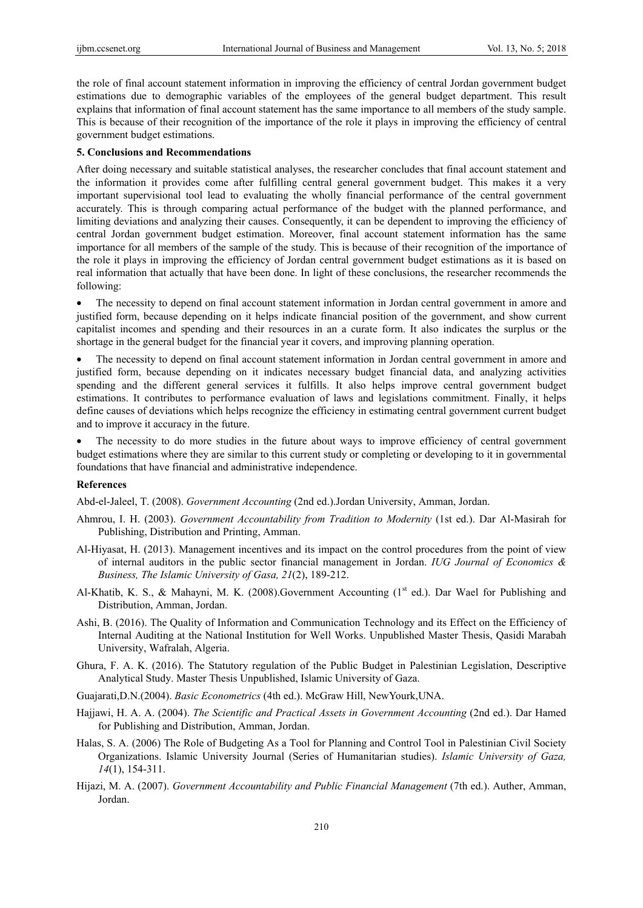the role of final account statement information in improving the efficiency of central Jordan government budget estimations due to demographic variables of the employees of the general budget department. This result explains that information of final account statement has the same importance to all members of the study sample. This is because of their recognition of the importance of the role it plays in improving the efficiency of central government budget estimations.

#### **5. Conclusions and Recommendations**

After doing necessary and suitable statistical analyses, the researcher concludes that final account statement and the information it provides come after fulfilling central general government budget. This makes it a very important supervisional tool lead to evaluating the wholly financial performance of the central government accurately. This is through comparing actual performance of the budget with the planned performance, and limiting deviations and analyzing their causes. Consequently, it can be dependent to improving the efficiency of central Jordan government budget estimation. Moreover, final account statement information has the same importance for all members of the sample of the study. This is because of their recognition of the importance of the role it plays in improving the efficiency of Jordan central government budget estimations as it is based on real information that actually that have been done. In light of these conclusions, the researcher recommends the following:

The necessity to depend on final account statement information in Jordan central government in amore and justified form, because depending on it helps indicate financial position of the government, and show current capitalist incomes and spending and their resources in an a curate form. It also indicates the surplus or the shortage in the general budget for the financial year it covers, and improving planning operation.

The necessity to depend on final account statement information in Jordan central government in amore and justified form, because depending on it indicates necessary budget financial data, and analyzing activities spending and the different general services it fulfills. It also helps improve central government budget estimations. It contributes to performance evaluation of laws and legislations commitment. Finally, it helps define causes of deviations which helps recognize the efficiency in estimating central government current budget and to improve it accuracy in the future.

The necessity to do more studies in the future about ways to improve efficiency of central government budget estimations where they are similar to this current study or completing or developing to it in governmental foundations that have financial and administrative independence.

#### **References**

Abd-el-Jaleel, T. (2008). *Government Accounting* (2nd ed.).Jordan University, Amman, Jordan.

- Ahmrou, I. H. (2003). *Government Accountability from Tradition to Modernity* (1st ed.). Dar Al-Masirah for Publishing, Distribution and Printing, Amman.
- Al-Hiyasat, H. (2013). Management incentives and its impact on the control procedures from the point of view of internal auditors in the public sector financial management in Jordan. *IUG Journal of Economics & Business, The Islamic University of Gasa, 21*(2), 189-212.
- Al-Khatib, K. S., & Mahayni, M. K. (2008).Government Accounting (1<sup>st</sup> ed.). Dar Wael for Publishing and Distribution, Amman, Jordan.
- Ashi, B. (2016). The Quality of Information and Communication Technology and its Effect on the Efficiency of Internal Auditing at the National Institution for Well Works. Unpublished Master Thesis, Qasidi Marabah University, Wafralah, Algeria.
- Ghura, F. A. K. (2016). The Statutory regulation of the Public Budget in Palestinian Legislation, Descriptive Analytical Study. Master Thesis Unpublished, Islamic University of Gaza.
- Guajarati,D.N.(2004). *Basic Econometrics* (4th ed.). McGraw Hill, NewYourk,UNA.
- Hajjawi, H. A. A. (2004). *The Scientific and Practical Assets in Government Accounting* (2nd ed.). Dar Hamed for Publishing and Distribution, Amman, Jordan.
- Halas, S. A. (2006) The Role of Budgeting As a Tool for Planning and Control Tool in Palestinian Civil Society Organizations. Islamic University Journal (Series of Humanitarian studies). *Islamic University of Gaza, 14*(1), 154-311.
- Hijazi, M. A. (2007). *Government Accountability and Public Financial Management* (7th ed.). Auther, Amman, Jordan.